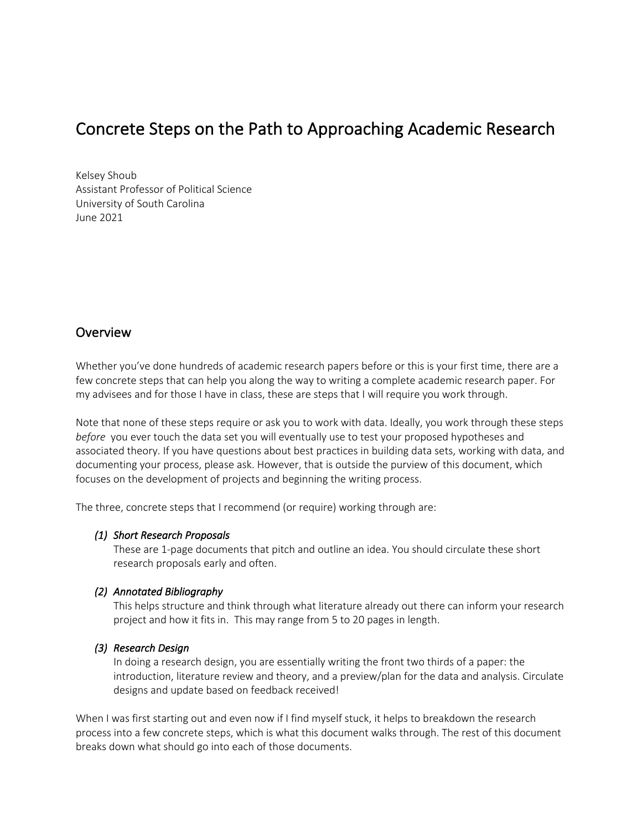# Concrete Steps on the Path to Approaching Academic Research

Kelsey Shoub Assistant Professor of Political Science University of South Carolina June 2021

## **Overview**

Whether you've done hundreds of academic research papers before or this is your first time, there are a few concrete steps that can help you along the way to writing a complete academic research paper. For my advisees and for those I have in class, these are steps that I will require you work through.

Note that none of these steps require or ask you to work with data. Ideally, you work through these steps *before* you ever touch the data set you will eventually use to test your proposed hypotheses and associated theory. If you have questions about best practices in building data sets, working with data, and documenting your process, please ask. However, that is outside the purview of this document, which focuses on the development of projects and beginning the writing process.

The three, concrete steps that I recommend (or require) working through are:

#### *(1) Short Research Proposals*

These are 1-page documents that pitch and outline an idea. You should circulate these short research proposals early and often.

#### *(2) Annotated Bibliography*

This helps structure and think through what literature already out there can inform your research project and how it fits in. This may range from 5 to 20 pages in length.

#### *(3) Research Design*

In doing a research design, you are essentially writing the front two thirds of a paper: the introduction, literature review and theory, and a preview/plan for the data and analysis. Circulate designs and update based on feedback received!

When I was first starting out and even now if I find myself stuck, it helps to breakdown the research process into a few concrete steps, which is what this document walks through. The rest of this document breaks down what should go into each of those documents.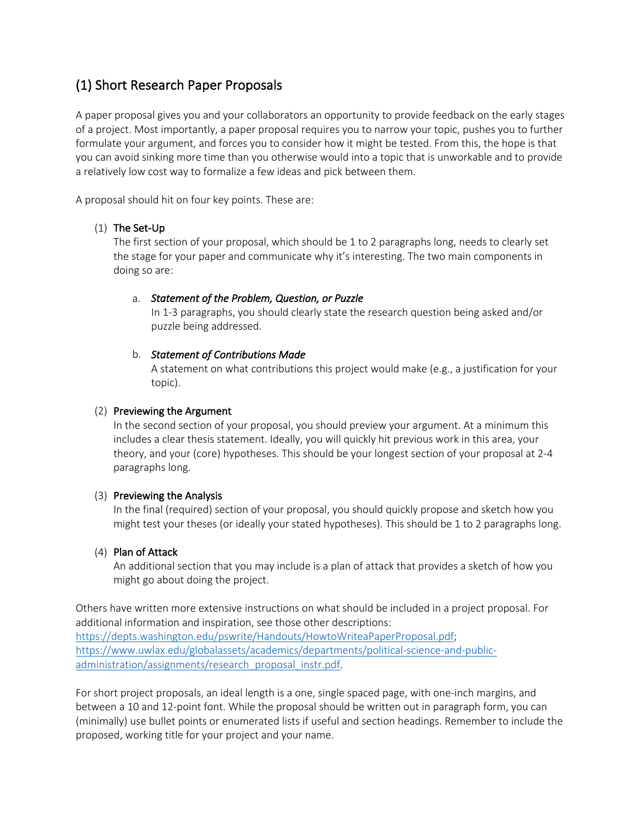## (1) Short Research Paper Proposals

A paper proposal gives you and your collaborators an opportunity to provide feedback on the early stages of a project. Most importantly, a paper proposal requires you to narrow your topic, pushes you to further formulate your argument, and forces you to consider how it might be tested. From this, the hope is that you can avoid sinking more time than you otherwise would into a topic that is unworkable and to provide a relatively low cost way to formalize a few ideas and pick between them.

A proposal should hit on four key points. These are:

### (1) The Set-Up

The first section of your proposal, which should be 1 to 2 paragraphs long, needs to clearly set the stage for your paper and communicate why it's interesting. The two main components in doing so are:

#### a. *Statement of the Problem, Question, or Puzzle*

In 1-3 paragraphs, you should clearly state the research question being asked and/or puzzle being addressed.

#### b. *Statement of Contributions Made*

A statement on what contributions this project would make (e.g., a justification for your topic).

#### (2) Previewing the Argument

In the second section of your proposal, you should preview your argument. At a minimum this includes a clear thesis statement. Ideally, you will quickly hit previous work in this area, your theory, and your (core) hypotheses. This should be your longest section of your proposal at 2-4 paragraphs long.

### (3) Previewing the Analysis

In the final (required) section of your proposal, you should quickly propose and sketch how you might test your theses (or ideally your stated hypotheses). This should be 1 to 2 paragraphs long.

### (4) Plan of Attack

An additional section that you may include is a plan of attack that provides a sketch of how you might go about doing the project.

Others have written more extensive instructions on what should be included in a project proposal. For additional information and inspiration, see those other descriptions: https://depts.washington.edu/pswrite/Handouts/HowtoWriteaPaperProposal.pdf; https://www.uwlax.edu/globalassets/academics/departments/political-science-and-publicadministration/assignments/research\_proposal\_instr.pdf.

For short project proposals, an ideal length is a one, single spaced page, with one-inch margins, and between a 10 and 12-point font. While the proposal should be written out in paragraph form, you can (minimally) use bullet points or enumerated lists if useful and section headings. Remember to include the proposed, working title for your project and your name.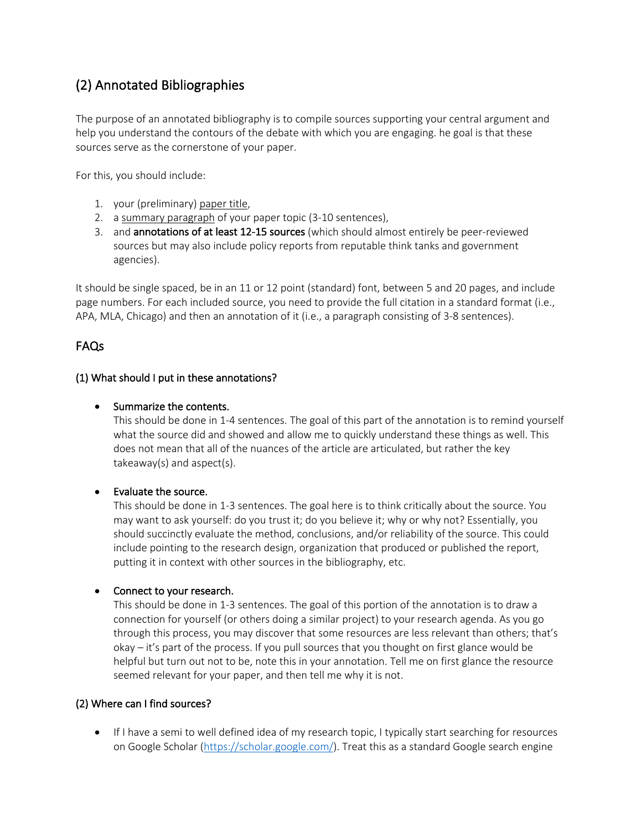## (2) Annotated Bibliographies

The purpose of an annotated bibliography is to compile sources supporting your central argument and help you understand the contours of the debate with which you are engaging. he goal is that these sources serve as the cornerstone of your paper.

For this, you should include:

- 1. your (preliminary) paper title,
- 2. a summary paragraph of your paper topic (3-10 sentences),
- 3. and annotations of at least 12-15 sources (which should almost entirely be peer-reviewed sources but may also include policy reports from reputable think tanks and government agencies).

It should be single spaced, be in an 11 or 12 point (standard) font, between 5 and 20 pages, and include page numbers. For each included source, you need to provide the full citation in a standard format (i.e., APA, MLA, Chicago) and then an annotation of it (i.e., a paragraph consisting of 3-8 sentences).

## FAQs

#### (1) What should I put in these annotations?

#### • Summarize the contents.

This should be done in 1-4 sentences. The goal of this part of the annotation is to remind yourself what the source did and showed and allow me to quickly understand these things as well. This does not mean that all of the nuances of the article are articulated, but rather the key takeaway(s) and aspect(s).

### • Evaluate the source.

This should be done in 1-3 sentences. The goal here is to think critically about the source. You may want to ask yourself: do you trust it; do you believe it; why or why not? Essentially, you should succinctly evaluate the method, conclusions, and/or reliability of the source. This could include pointing to the research design, organization that produced or published the report, putting it in context with other sources in the bibliography, etc.

#### • Connect to your research.

This should be done in 1-3 sentences. The goal of this portion of the annotation is to draw a connection for yourself (or others doing a similar project) to your research agenda. As you go through this process, you may discover that some resources are less relevant than others; that's okay – it's part of the process. If you pull sources that you thought on first glance would be helpful but turn out not to be, note this in your annotation. Tell me on first glance the resource seemed relevant for your paper, and then tell me why it is not.

#### (2) Where can I find sources?

• If I have a semi to well defined idea of my research topic, I typically start searching for resources on Google Scholar (https://scholar.google.com/). Treat this as a standard Google search engine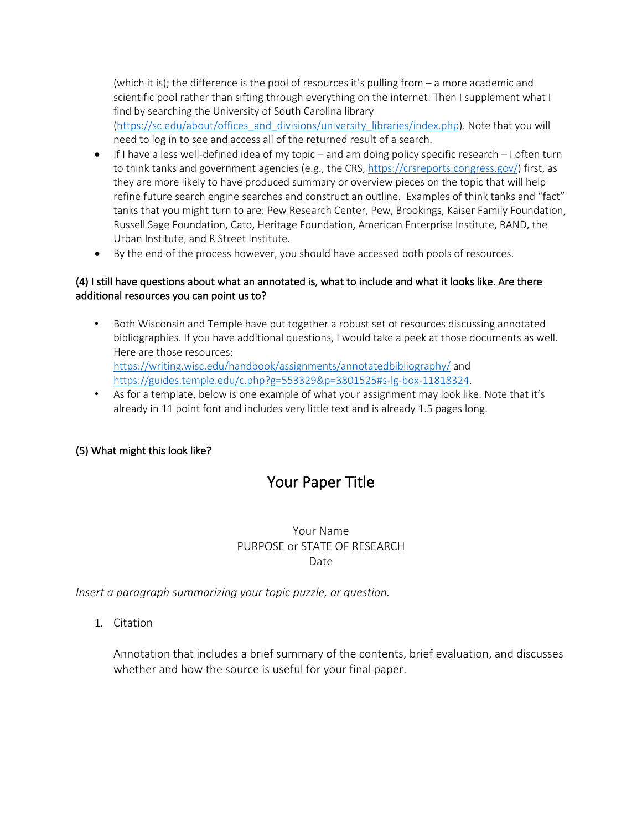(which it is); the difference is the pool of resources it's pulling from – a more academic and scientific pool rather than sifting through everything on the internet. Then I supplement what I find by searching the University of South Carolina library

(https://sc.edu/about/offices\_and\_divisions/university\_libraries/index.php). Note that you will need to log in to see and access all of the returned result of a search.

- $\bullet$  If I have a less well-defined idea of my topic and am doing policy specific research I often turn to think tanks and government agencies (e.g., the CRS, https://crsreports.congress.gov/) first, as they are more likely to have produced summary or overview pieces on the topic that will help refine future search engine searches and construct an outline. Examples of think tanks and "fact" tanks that you might turn to are: Pew Research Center, Pew, Brookings, Kaiser Family Foundation, Russell Sage Foundation, Cato, Heritage Foundation, American Enterprise Institute, RAND, the Urban Institute, and R Street Institute.
- By the end of the process however, you should have accessed both pools of resources.

### (4) I still have questions about what an annotated is, what to include and what it looks like. Are there additional resources you can point us to?

- Both Wisconsin and Temple have put together a robust set of resources discussing annotated bibliographies. If you have additional questions, I would take a peek at those documents as well. Here are those resources: https://writing.wisc.edu/handbook/assignments/annotatedbibliography/ and https://guides.temple.edu/c.php?g=553329&p=3801525#s-lg-box-11818324.
- As for a template, below is one example of what your assignment may look like. Note that it's already in 11 point font and includes very little text and is already 1.5 pages long.

## (5) What might this look like?

## Your Paper Title

## Your Name PURPOSE or STATE OF RESEARCH Date

*Insert a paragraph summarizing your topic puzzle, or question.* 

1. Citation

Annotation that includes a brief summary of the contents, brief evaluation, and discusses whether and how the source is useful for your final paper.